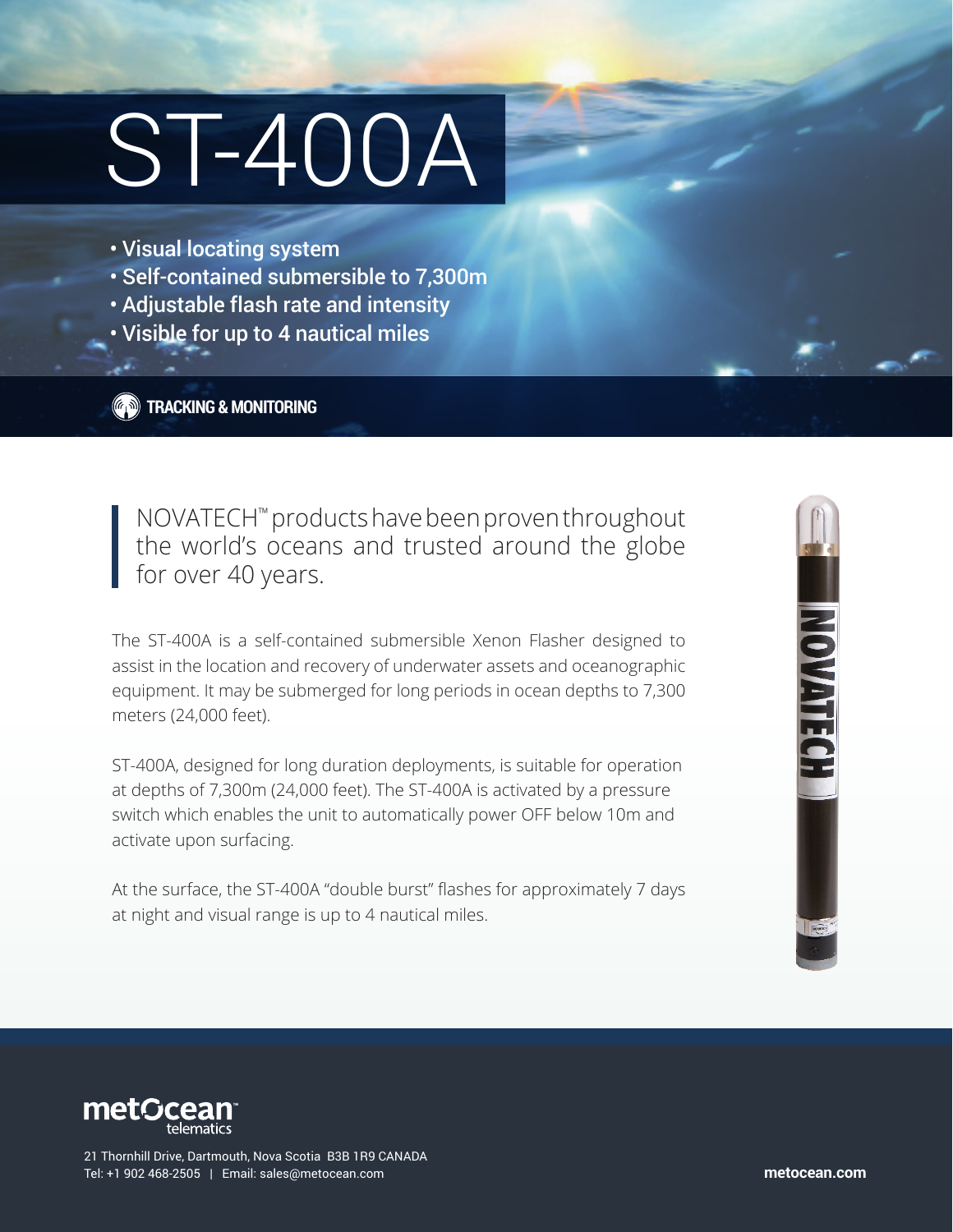# ST-400A

- Visual locating system
- Self-contained submersible to 7,300m
- Adjustable flash rate and intensity
- Visible for up to 4 nautical miles

**TRACKING & MONITORING**

NOVATECH™ products have been proven throughout the world's oceans and trusted around the globe for over 40 years.

The ST-400A is a self-contained submersible Xenon Flasher designed to assist in the location and recovery of underwater assets and oceanographic equipment. It may be submerged for long periods in ocean depths to 7,300 meters (24,000 feet).

ST-400A, designed for long duration deployments, is suitable for operation at depths of 7,300m (24,000 feet). The ST-400A is activated by a pressure switch which enables the unit to automatically power OFF below 10m and activate upon surfacing.

At the surface, the ST-400A "double burst" flashes for approximately 7 days at night and visual range is up to 4 nautical miles.